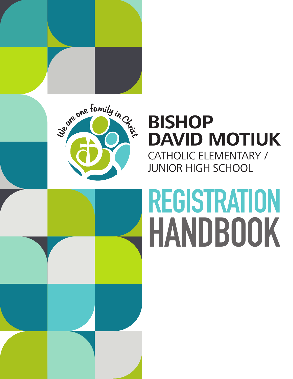

# **BISHOP DAVID MOTIUK** CATHOLIC ELEMENTARY / JUNIOR HIGH SCHOOL

# **HANDBOOK REGISTRATION**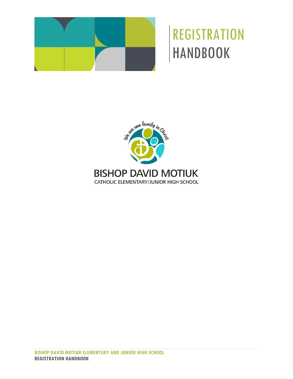

# **REGISTRATION** HANDBOOK

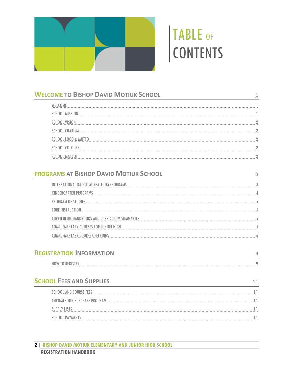

# TABLE OF CONTENTS

| <b>WELCOME TO BISHOP DAVID MOTIUK SCHOOL</b>                                                                   |                |
|----------------------------------------------------------------------------------------------------------------|----------------|
| WELCOME                                                                                                        |                |
|                                                                                                                |                |
|                                                                                                                |                |
|                                                                                                                |                |
|                                                                                                                |                |
|                                                                                                                |                |
|                                                                                                                |                |
| <b>PROGRAMS AT BISHOP DAVID MOTIUK SCHOOL</b>                                                                  | $\mathsf{3}$   |
| INTERNATIONAL BACCALAUREATE (IB) PROGRAMS CONTROLLED AND CONTROLLED AND CONTROLLED ACCOUNTS AND CONTROLLED AND |                |
|                                                                                                                |                |
|                                                                                                                |                |
| CORE INSTRUCTION                                                                                               |                |
| <u>CURRICULUM HANDBOOKS AND CURRICULUM SUMMARIES</u>                                                           |                |
|                                                                                                                |                |
|                                                                                                                |                |
| <b>REGISTRATION INFORMATION</b>                                                                                | $\overline{9}$ |
|                                                                                                                |                |
| <b>SCHOOL FEES AND SUPPLIES</b>                                                                                | 11             |
| <u>SCHOOL AND COURSE FEES</u>                                                                                  |                |
|                                                                                                                |                |
|                                                                                                                |                |
|                                                                                                                |                |
|                                                                                                                |                |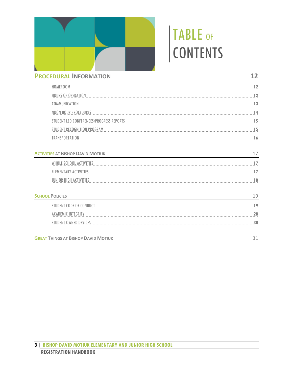

# TABLE OF CONTENTS

| <b>PROCEDURAL INFORMATION</b>              | 12 |  |
|--------------------------------------------|----|--|
| HOMEROOM                                   | 12 |  |
| <b>HOURS OF OPERATION</b>                  | 12 |  |
| COMMUNICATION                              | 13 |  |
| <b>NOON HOUR PROCEDURES</b>                |    |  |
| STUDENT LED CONFERENCES/PROGRESS REPORTS   | 15 |  |
| STUDENT RECOGNITION PROGRAM                | 15 |  |
| TRANSPORTATION                             |    |  |
| <b>ACTIVITIES AT BISHOP DAVID MOTIUK</b>   | 17 |  |
| WHOLE SCHOOL ACTIVITIES                    | 17 |  |
| <b>ELEMENTARY ACTIVITIES</b>               | 17 |  |
| JUNIOR HIGH ACTIVITIES                     | 18 |  |
| <b>SCHOOL POLICIES</b>                     | 19 |  |
| <b>STUDENT CODE OF CONDUCT</b>             | 19 |  |
| <b>ACADEMIC INTEGRITY</b>                  | 28 |  |
| <b>STUDENT OWNED DEVICES</b>               | 30 |  |
| <b>GREAT THINGS AT BISHOP DAVID MOTIUK</b> | 31 |  |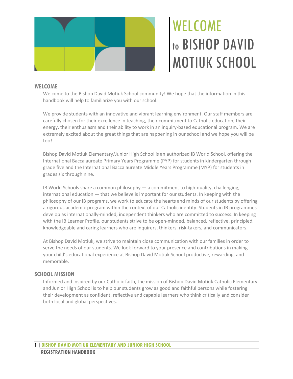

# WELCOME to BISHOP DAVID MOTIUK SCHOOL

# <span id="page-4-1"></span><span id="page-4-0"></span>**WELCOME**

Welcome to the Bishop David Motiuk School community! We hope that the information in this handbook will help to familiarize you with our school.

We provide students with an innovative and vibrant learning environment. Our staff members are carefully chosen for their excellence in teaching, their commitment to Catholic education, their energy, their enthusiasm and their ability to work in an inquiry-based educational program. We are extremely excited about the great things that are happening in our school and we hope you will be too!

Bishop David Motiuk Elementary/Junior High School is an authorized IB World School, offering the International Baccalaureate Primary Years Programme (PYP) for students in kindergarten through grade five and the International Baccalaureate Middle Years Programme (MYP) for students in grades six through nine.

IB World Schools share a common philosophy — a commitment to high-quality, challenging, international education — that we believe is important for our students. In keeping with the philosophy of our IB programs, we work to educate the hearts and minds of our students by offering a rigorous academic program within the context of our Catholic identity. Students in IB programmes develop as internationally-minded, independent thinkers who are committed to success. In keeping with the IB Learner Profile, our students strive to be open-minded, balanced, reflective, principled, knowledgeable and caring learners who are inquirers, thinkers, risk-takers, and communicators.

At Bishop David Motiuk, we strive to maintain close communication with our families in order to serve the needs of our students. We look forward to your presence and contributions in making your child's educational experience at Bishop David Motiuk School productive, rewarding, and memorable.

# <span id="page-4-2"></span>**SCHOOL MISSION**

Informed and inspired by our Catholic faith, the mission of Bishop David Motiuk Catholic Elementary and Junior High School is to help our students grow as good and faithful persons while fostering their development as confident, reflective and capable learners who think critically and consider both local and global perspectives.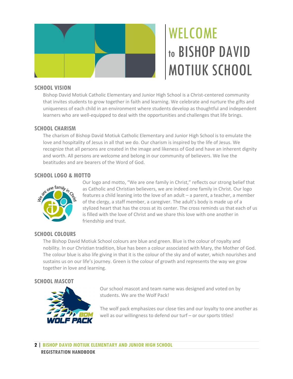

# WELCOME to BISHOP DAVID MOTIUK SCHOOL

# <span id="page-5-0"></span>**SCHOOL VISION**

Bishop David Motiuk Catholic Elementary and Junior High School is a Christ-centered community that invites students to grow together in faith and learning. We celebrate and nurture the gifts and uniqueness of each child in an environment where students develop as thoughtful and independent learners who are well-equipped to deal with the opportunities and challenges that life brings.

# <span id="page-5-1"></span>**SCHOOL CHARISM**

The charism of Bishop David Motiuk Catholic Elementary and Junior High School is to emulate the love and hospitality of Jesus in all that we do. Our charism is inspired by the life of Jesus. We recognize that all persons are created in the image and likeness of God and have an inherent dignity and worth. All persons are welcome and belong in our community of believers. We live the beatitudes and are bearers of the Word of God.

# <span id="page-5-2"></span>**SCHOOL LOGO & MOTTO**



Our logo and motto, "We are one family in Christ," reflects our strong belief that as Catholic and Christian believers, we are indeed one family in Christ. Our logo features a child leaning into the love of an adult – a parent, a teacher, a member of the clergy, a staff member, a caregiver. The adult's body is made up of a stylized heart that has the cross at its center. The cross reminds us that each of us is filled with the love of Christ and we share this love with one another in friendship and trust.

# <span id="page-5-3"></span>**SCHOOL COLOURS**

The Bishop David Motiuk School colours are blue and green. Blue is the colour of royalty and nobility. In our Christian tradition, blue has been a colour associated with Mary, the Mother of God. The colour blue is also life giving in that it is the colour of the sky and of water, which nourishes and sustains us on our life's journey. Green is the colour of growth and represents the way we grow together in love and learning.

# <span id="page-5-4"></span>**SCHOOL MASCOT**



Our school mascot and team name was designed and voted on by students. We are the Wolf Pack!

The wolf pack emphasizes our close ties and our loyalty to one another as well as our willingness to defend our turf - or our sports titles!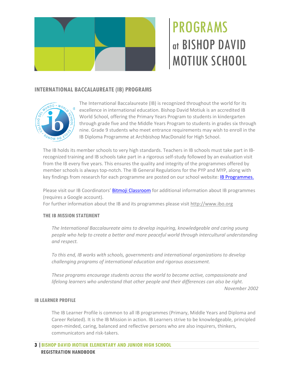

# <span id="page-6-1"></span><span id="page-6-0"></span>**INTERNATIONAL BACCALAUREATE (IB) PROGRAMS**



The International Baccalaureate (IB) is recognized throughout the world for its excellence in international education. Bishop David Motiuk is an accredited IB World School, offering the Primary Years Program to students in kindergarten through grade five and the Middle Years Program to students in grades six through nine. Grade 9 students who meet entrance requirements may wish to enroll in the IB Diploma Programme at Archbishop MacDonald for High School.

The IB holds its member schools to very high standards. Teachers in IB schools must take part in IBrecognized training and IB schools take part in a rigorous self-study followed by an evaluation visit from the IB every five years. This ensures the quality and integrity of the programmes offered by member schools is always top-notch. The IB General Regulations for the PYP and MYP, along with key findings from research for each programme are posted on our school website[: IB Programmes.](https://www.ecsd.net/1967/page/2581/ib-programmes)

Please visit our IB Coordinators' **Bitmoji Classroom** for additional information about IB programmes (requires a Google account).

For further information about the IB and its programmes please visit [http://www.ibo.org](http://www.ibo.org/)

# **THE IB MISSION STATEMENT**

*The International Baccalaureate aims to develop inquiring, knowledgeable and caring young people who help to create a better and more peaceful world through intercultural understanding and respect.*

*To this end, IB works with schools, governments and international organizations to develop challenging programs of international education and rigorous assessment.*

*These programs encourage students across the world to become active, compassionate and lifelong learners who understand that other people and their differences can also be right. November 2002*

# **IB LEARNER PROFILE**

The IB Learner Profile is common to all IB programmes (Primary, Middle Years and Diploma and Career Related). It is the IB Mission in action. IB Learners strive to be knowledgeable, principled open-minded, caring, balanced and reflective persons who are also inquirers, thinkers, communicators and risk-takers.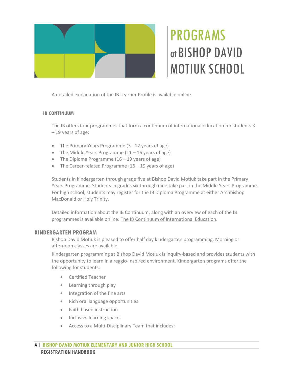

A detailed explanation of the [IB Learner Profile](https://www.ibo.org/contentassets/fd82f70643ef4086b7d3f292cc214962/learner-profile-en.pdf) is available online.

# **IB CONTINUUM**

The IB offers four programmes that form a continuum of international education for students 3 – 19 years of age:

- The Primary Years Programme (3 12 years of age)
- The Middle Years Programme  $(11 16$  years of age)
- The Diploma Programme  $(16 19)$  years of age)
- The Career-related Programme (16 19 years of age)

Students in kindergarten through grade five at Bishop David Motiuk take part in the Primary Years Programme. Students in grades six through nine take part in the Middle Years Programme. For high school, students may register for the IB Diploma Programme at either Archbishop MacDonald or Holy Trinity.

Detailed information about the IB Continuum, along with an overview of each of the IB programmes is available online: [The IB Continuum of International Education.](https://www.ibo.org/globalassets/digital-tookit/brochures/ib-continuum-brochure-en.pdf)

# <span id="page-7-0"></span>**KINDERGARTEN PROGRAM**

Bishop David Motiuk is pleased to offer half day kindergarten programming. Morning or afternoon classes are available.

Kindergarten programming at Bishop David Motiuk is inquiry-based and provides students with the opportunity to learn in a reggio-inspired environment. Kindergarten programs offer the following for students:

- Certified Teacher
- Learning through play
- Integration of the fine arts
- Rich oral language opportunities
- Faith based instruction
- Inclusive learning spaces
- Access to a Multi-Disciplinary Team that includes: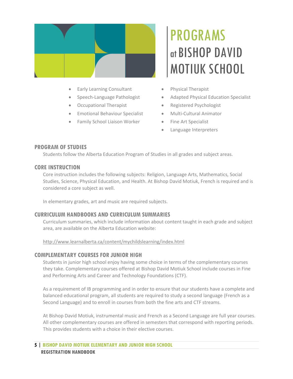

- Early Learning Consultant
- Speech-Language Pathologist
- Occupational Therapist
- Emotional Behaviour Specialist
- Family School Liaison Worker

- Physical Therapist
- Adapted Physical Education Specialist
- Registered Psychologist
- Multi-Cultural Animator
- Fine Art Specialist
- Language Interpreters

# <span id="page-8-0"></span>**PROGRAM OF STUDIES**

Students follow the Alberta Education Program of Studies in all grades and subject areas.

# <span id="page-8-1"></span>**CORE INSTRUCTION**

Core instruction includes the following subjects: Religion, Language Arts, Mathematics, Social Studies, Science, Physical Education, and Health. At Bishop David Motiuk, French is required and is considered a core subject as well.

In elementary grades, art and music are required subjects.

# <span id="page-8-2"></span>**CURRICULUM HANDBOOKS AND CURRICULUM SUMMARIES**

Curriculum summaries, which include information about content taught in each grade and subject area, are available on the Alberta Education website:

<http://www.learnalberta.ca/content/mychildslearning/index.html>

# <span id="page-8-3"></span>**COMPLEMENTARY COURSES FOR JUNIOR HIGH**

Students in junior high school enjoy having some choice in terms of the complementary courses they take. Complementary courses offered at Bishop David Motiuk School include courses in Fine and Performing Arts and Career and Technology Foundations (CTF).

As a requirement of IB programming and in order to ensure that our students have a complete and balanced educational program, all students are required to study a second language (French as a Second Language) and to enroll in courses from both the fine arts and CTF streams.

At Bishop David Motiuk, instrumental music and French as a Second Language are full year courses. All other complementary courses are offered in semesters that correspond with reporting periods. This provides students with a choice in their elective courses.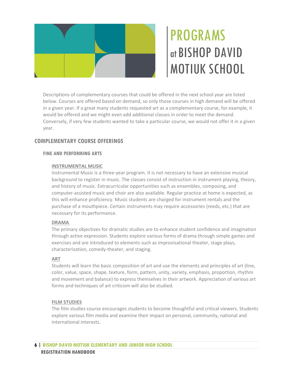

Descriptions of complementary courses that could be offered in the next school year are listed below. Courses are offered based on demand, so only those courses in high demand will be offered in a given year. If a great many students requested art as a complementary course, for example, it would be offered and we might even add additional classes in order to meet the demand. Conversely, if very few students wanted to take a particular course, we would not offer it in a given year.

# <span id="page-9-0"></span>**COMPLEMENTARY COURSE OFFERINGS**

# **FINE AND PERFORMING ARTS**

# **INSTRUMENTAL MUSIC**

Instrumental Music is a three-year program. It is not necessary to have an extensive musical background to register in music. The classes consist of instruction in instrument playing, theory, and history of music. Extracurricular opportunities such as ensembles, composing, and computer-assisted music and choir are also available. Regular practice at home is expected, as this will enhance proficiency. Music students are charged for instrument rentals and the purchase of a mouthpiece. Certain instruments may require accessories (reeds, etc.) that are necessary for its performance.

# **DRAMA**

The primary objectives for dramatic studies are to enhance student confidence and imagination through active expression. Students explore various forms of drama through simple games and exercises and are introduced to elements such as improvisational theater, stage plays, characterization, comedy-theater, and staging.

# **ART**

Students will learn the basic composition of art and use the elements and principles of art (line, color, value, space, shape, texture, form, pattern, unity, variety, emphasis, proportion, rhythm and movement and balance) to express themselves in their artwork. Appreciation of various art forms and techniques of art criticism will also be studied.

# **FILM STUDIES**

The film studies course encourages students to become thoughtful and critical viewers. Students explore various film media and examine their impact on personal, community, national and international interests.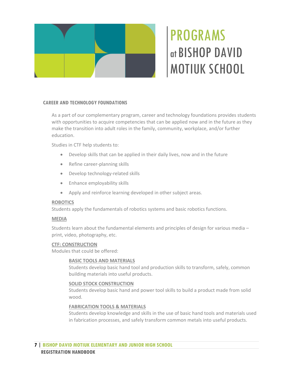

# **CAREER AND TECHNOLOGY FOUNDATIONS**

As a part of our complementary program, career and technology foundations provides students with opportunities to acquire competencies that can be applied now and in the future as they make the transition into adult roles in the family, community, workplace, and/or further education.

Studies in CTF help students to:

- Develop skills that can be applied in their daily lives, now and in the future
- Refine career-planning skills
- Develop technology-related skills
- Enhance employability skills
- Apply and reinforce learning developed in other subject areas.

### **ROBOTICS**

Students apply the fundamentals of robotics systems and basic robotics functions.

### **MEDIA**

Students learn about the fundamental elements and principles of design for various media – print, video, photography, etc.

### **CTF: CONSTRUCTION**

Modules that could be offered:

### **BASIC TOOLS AND MATERIALS**

Students develop basic hand tool and production skills to transform, safely, common building materials into useful products.

### **SOLID STOCK CONSTRUCTION**

Students develop basic hand and power tool skills to build a product made from solid wood.

### **FABRICATION TOOLS & MATERIALS**

Students develop knowledge and skills in the use of basic hand tools and materials used in fabrication processes, and safely transform common metals into useful products.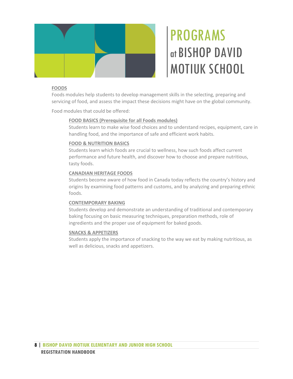

# **FOODS**

Foods modules help students to develop management skills in the selecting, preparing and servicing of food, and assess the impact these decisions might have on the global community.

Food modules that could be offered:

# **FOOD BASICS (Prerequisite for all Foods modules)**

Students learn to make wise food choices and to understand recipes, equipment, care in handling food, and the importance of safe and efficient work habits.

### **FOOD & NUTRITION BASICS**

Students learn which foods are crucial to wellness, how such foods affect current performance and future health, and discover how to choose and prepare nutritious, tasty foods.

# **CANADIAN HERITAGE FOODS**

Students become aware of how food in Canada today reflects the country's history and origins by examining food patterns and customs, and by analyzing and preparing ethnic foods.

# **CONTEMPORARY BAKING**

Students develop and demonstrate an understanding of traditional and contemporary baking focusing on basic measuring techniques, preparation methods, role of ingredients and the proper use of equipment for baked goods.

### **SNACKS & APPETIZERS**

Students apply the importance of snacking to the way we eat by making nutritious, as well as delicious, snacks and appetizers.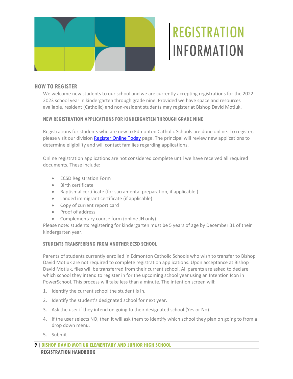

# **REGISTRATION** INFORMATION

# <span id="page-12-1"></span><span id="page-12-0"></span>**HOW TO REGISTER**

We welcome new students to our school and we are currently accepting registrations for the 2022- 2023 school year in kindergarten through grade nine. Provided we have space and resources available, resident (Catholic) and non-resident students may register at Bishop David Motiuk.

# **NEW REGISTRATION APPLICATIONS FOR KINDERGARTEN THROUGH GRADE NINE**

Registrations for students who are new to Edmonton Catholic Schools are done online. To register, please visit our divisio[n Register Online Today](https://www.ecsd.net/page/1270/register-online-today) page. The principal will review new applications to determine eligibility and will contact families regarding applications.

Online registration applications are not considered complete until we have received all required documents. These include:

- ECSD Registration Form
- Birth certificate
- Baptismal certificate (for sacramental preparation, if applicable )
- Landed immigrant certificate (if applicable)
- Copy of current report card
- Proof of address
- Complementary course form (online JH only)

Please note: students registering for kindergarten must be 5 years of age by December 31 of their kindergarten year.

### **STUDENTS TRANSFERRING FROM ANOTHER ECSD SCHOOL**

Parents of students currently enrolled in Edmonton Catholic Schools who wish to transfer to Bishop David Motiuk are not required to complete registration applications. Upon acceptance at Bishop David Motiuk, files will be transferred from their current school. All parents are asked to declare which school they intend to register in for the upcoming school year using an Intention Icon in PowerSchool. This process will take less than a minute. The intention screen will:

- 1. Identify the current school the student is in.
- 2. Identify the student's designated school for next year.
- 3. Ask the user if they intend on going to their designated school (Yes or No)
- 4. If the user selects NO, then it will ask them to identify which school they plan on going to from a drop down menu.
- 5. Submit

**9 |BISHOP DAVID MOTIUK ELEMENTARY AND JUNIOR HIGH SCHOOL REGISTRATION HANDBOOK**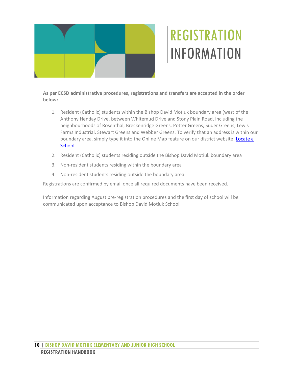

# REGISTRATION INFORMATION

**As per ECSD administrative procedures, registrations and transfers are accepted in the order below:** 

- 1. Resident (Catholic) students within the Bishop David Motiuk boundary area (west of the Anthony Henday Drive, between Whitemud Drive and Stony Plain Road, including the neighbourhoods of Rosenthal, Breckenridge Greens, Potter Greens, Suder Greens, Lewis Farms Industrial, Stewart Greens and Webber Greens. To verify that an address is within our boundary area, simply type it into the Online Map feature on our district website: **Locate a [School](https://www.ecsd.net/page/6833/locate-a-school)**
- 2. Resident (Catholic) students residing outside the Bishop David Motiuk boundary area
- 3. Non-resident students residing within the boundary area
- 4. Non-resident students residing outside the boundary area

Registrations are confirmed by email once all required documents have been received.

Information regarding August pre-registration procedures and the first day of school will be communicated upon acceptance to Bishop David Motiuk School.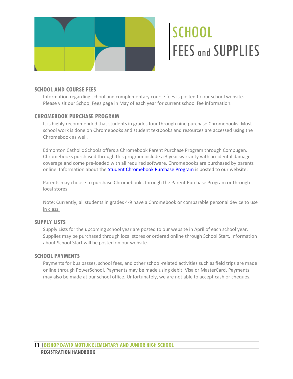

# **SCHOOL** FEES and SUPPLIES

# <span id="page-14-1"></span><span id="page-14-0"></span>**SCHOOL AND COURSE FEES**

Information regarding school and complementary course fees is posted to our school website. Please visit ou[r School Fees](https://www.ecsd.net/1967/page/2578/school-fees) page in May of each year for current school fee information.

# <span id="page-14-2"></span>**CHROMEBOOK PURCHASE PROGRAM**

It is highly recommended that students in grades four through nine purchase Chromebooks. Most school work is done on Chromebooks and student textbooks and resources are accessed using the Chromebook as well.

Edmonton Catholic Schools offers a Chromebook Parent Purchase Program through Compugen. Chromebooks purchased through this program include a 3 year warranty with accidental damage coverage and come pre-loaded with all required software. Chromebooks are purchased by parents online. Information about the **Student Chromebook Purchase Program** is posted to our website.

Parents may choose to purchase Chromebooks through the Parent Purchase Program or through local stores.

Note: Currently, all students in grades 4-9 have a Chromebook or comparable personal device to use in class.

# <span id="page-14-3"></span>**SUPPLY LISTS**

[Supply Lists](https://www.ecsd.net/schools/1967/school_information/Pages/Supply-Lists.aspx) for the upcoming school year are posted to our website in April of each school year. Supplies may be purchased through local stores or ordered online through School Start. Information about School Start will be posted on our website.

# <span id="page-14-4"></span>**SCHOOL PAYMENTS**

Payments for bus passes, school fees, and other school-related activities such as field trips are made online through PowerSchool. Payments may be made using debit, Visa or MasterCard. Payments may also be made at our school office. Unfortunately, we are not able to accept cash or cheques.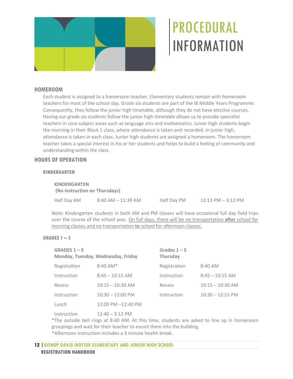

# <span id="page-15-1"></span><span id="page-15-0"></span>**HOMEROOM**

Each student is assigned to a homeroom teacher. Elementary students remain with homeroom teachers for most of the school day. Grade six students are part of the IB Middle Years Programme. Consequently, they follow the junior high timetable, although they do not have elective courses. Having our grade six students follow the junior high timetable allows us to provide specialist teachers in core subject areas such as language arts and mathematics. Junior high students begin the morning in their Block 1 class, where attendance is taken and recorded. In junior high, attendance is taken in each class. Junior high students are assigned a homeroom. The homeroom teacher takes a special interest in his or her students and helps to build a feeling of community and understanding within the class.

# <span id="page-15-2"></span>**HOURS OF OPERATION**

### **KINDERGARTEN**

**KINDERGARTEN (No instruction on Thursdays)** Half Day AM 8:40 AM – 11:39 AM Half Day PM 12:13 PM – 3:12 PM

Note: Kindergarten students in both AM and PM classes will have occasional full day field trips over the course of the school year. On full days, there will be no transportation **after** school for morning classes and no transportation **to** school for afternoon classes.

### **GRADES 1 – 5**

| GRADES $1 - 5$<br>Monday, Tuesday, Wednesday, Friday |                    | Grades $1 - 5$<br>Thursday |                    |  |
|------------------------------------------------------|--------------------|----------------------------|--------------------|--|
| Registration                                         | $8:40$ AM*         | Registration               | 8:40 AM            |  |
| Instruction                                          | $8:45 - 10:15$ AM  | Instruction                | $8:45 - 10:15$ AM  |  |
| Recess                                               | $10:15 - 10:30$ AM | Recess                     | $10:15 - 10:30$ AM |  |
| Instruction                                          | $10:30 - 12:00$ PM | Instruction                | $10:30 - 12:15$ PM |  |
| Lunch                                                | 12:00 PM -12:40 PM |                            |                    |  |
|                                                      |                    |                            |                    |  |

Instruction 12:40 – 3:12 PM

\*The outside bell rings at 8:40 AM. At this time, students are asked to line up in homeroom groupings and wait for their teacher to escort them into the building.

\*Afternoon instruction includes a 5 minute health break.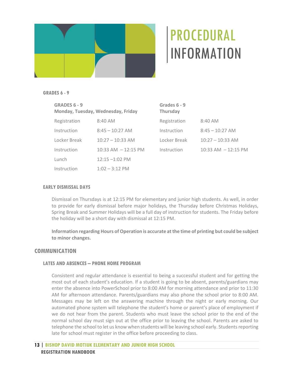

### **GRADES 6 - 9**

| <b>GRADES 6 - 9</b><br>Monday, Tuesday, Wednesday, Friday |                        | Grades 6 - 9<br><b>Thursday</b> |                        |  |  |
|-----------------------------------------------------------|------------------------|---------------------------------|------------------------|--|--|
| Registration                                              | 8:40 AM                | Registration                    | 8:40 AM                |  |  |
| Instruction                                               | $8:45 - 10:27$ AM      | Instruction                     | $8:45 - 10:27$ AM      |  |  |
| Locker Break                                              | $10:27 - 10:33$ AM     | Locker Break                    | $10:27 - 10:33$ AM     |  |  |
| Instruction                                               | $10:33$ AM $-12:15$ PM | Instruction                     | $10:33$ AM $-12:15$ PM |  |  |
| Lunch                                                     | $12:15 - 1:02$ PM      |                                 |                        |  |  |
| Instruction                                               | $1:02 - 3:12$ PM       |                                 |                        |  |  |

#### **EARLY DISMISSAL DAYS**

Dismissal on Thursdays is at 12:15 PM for elementary and junior high students. As well, in order to provide for early dismissal before major holidays, the Thursday before Christmas Holidays, Spring Break and Summer Holidays will be a full day of instruction for students. The Friday before the holiday will be a short day with dismissal at 12:15 PM.

**Information regarding Hours of Operation is accurate at the time of printing but could be subject to minor changes.**

# <span id="page-16-0"></span>**COMMUNICATION**

# **LATES AND ABSENCES – PHONE HOME PROGRAM**

Consistent and regular attendance is essential to being a successful student and for getting the most out of each student's education. If a student is going to be absent, parents/guardians may enter the absence into PowerSchool prior to 8:00 AM for morning attendance and prior to 11:30 AM for afternoon attendance. Parents/guardians may also phone the school prior to 8:00 AM. Messages may be left on the answering machine through the night or early morning. Our automated phone system will telephone the student's home or parent's place of employment if we do not hear from the parent. Students who must leave the school prior to the end of the normal school day must sign out at the office prior to leaving the school. Parents are asked to telephone the school to let us know when students will be leaving school early. Students reporting late for school must register in the office before proceeding to class.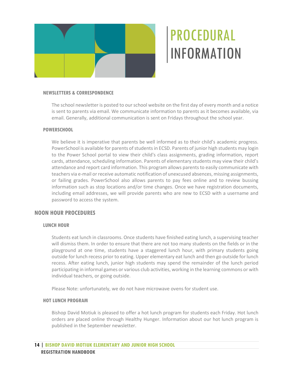

#### **NEWSLETTERS & CORRESPONDENCE**

The school newsletter is posted to our school website on the first day of every month and a notice is sent to parents via email. We communicate information to parents as it becomes available, via email. Generally, additional communication is sent on Fridays throughout the school year.

#### **POWERSCHOOL**

We believe it is imperative that parents be well informed as to their child's academic progress. PowerSchool is available for parents of students in ECSD. Parents of junior high students may login to the Power School portal to view their child's class assignments, grading information, report cards, attendance, scheduling information. Parents of elementary students may view their child's attendance and report card information. This program allows parents to easily communicate with teachers via e-mail or receive automatic notification of unexcused absences, missing assignments, or failing grades. PowerSchool also allows parents to pay fees online and to review bussing information such as stop locations and/or time changes. Once we have registration documents, including email addresses, we will provide parents who are new to ECSD with a username and password to access the system.

### <span id="page-17-0"></span>**NOON HOUR PROCEDURES**

### **LUNCH HOUR**

Students eat lunch in classrooms. Once students have finished eating lunch, a supervising teacher will dismiss them. In order to ensure that there are not too many students on the fields or in the playground at one time, students have a staggered lunch hour, with primary students going outside for lunch recess prior to eating. Upper elementary eat lunch and then go outside for lunch recess. After eating lunch, junior high students may spend the remainder of the lunch period participating in informal games or various club activities, working in the learning commons or with individual teachers, or going outside.

Please Note: unfortunately, we do not have microwave ovens for student use.

#### **HOT LUNCH PROGRAM**

Bishop David Motiuk is pleased to offer a hot lunch program for students each Friday. Hot lunch orders are placed online through Healthy Hunger. Information about our hot lunch program is published in the September newsletter.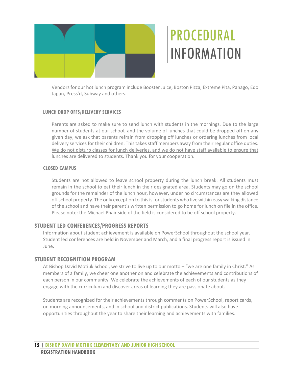

Vendors for our hot lunch program include Booster Juice, Boston Pizza, Extreme Pita, Panago, Edo Japan, Press'd, Subway and others.

# **LUNCH DROP OFFS/DELIVERY SERVICES**

Parents are asked to make sure to send lunch with students in the mornings. Due to the large number of students at our school, and the volume of lunches that could be dropped off on any given day, we ask that parents refrain from dropping off lunches or ordering lunches from local delivery services for their children. This takes staff members away from their regular office duties. We do not disturb classes for lunch deliveries, and we do not have staff available to ensure that lunches are delivered to students. Thank you for your cooperation.

# **CLOSED CAMPUS**

Students are not allowed to leave school property during the lunch break. All students must remain in the school to eat their lunch in their designated area. Students may go on the school grounds for the remainder of the lunch hour, however, under no circumstances are they allowed off school property. The only exception to this is for students who live within easy walking distance of the school and have their parent's written permission to go home for lunch on file in the office. Please note: the Michael Phair side of the field is considered to be off school property.

# <span id="page-18-0"></span>**STUDENT LED CONFERENCES/PROGRESS REPORTS**

Information about student achievement is available on PowerSchool throughout the school year. Student led conferences are held in November and March, and a final progress report is issued in June.

# <span id="page-18-1"></span>**STUDENT RECOGNITION PROGRAM**

At Bishop David Motiuk School, we strive to live up to our motto – "we are one family in Christ." As members of a family, we cheer one another on and celebrate the achievements and contributions of each person in our community. We celebrate the achievements of each of our students as they engage with the curriculum and discover areas of learning they are passionate about.

Students are recognized for their achievements through comments on PowerSchool, report cards, on morning announcements, and in school and district publications. Students will also have opportunities throughout the year to share their learning and achievements with families.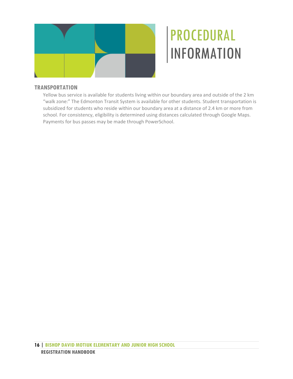

# <span id="page-19-0"></span>**TRANSPORTATION**

Yellow bus service is available for students living within our boundary area and outside of the 2 km "walk zone:" The Edmonton Transit System is available for other students. Student transportation is subsidized for students who reside within our boundary area at a distance of 2.4 km or more from school. For consistency, eligibility is determined using distances calculated through Google Maps. Payments for bus passes may be made through PowerSchool.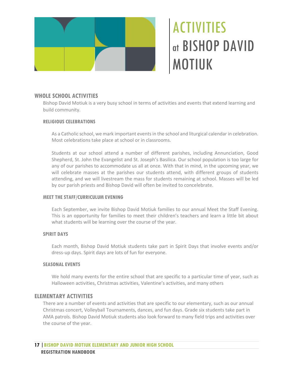

# ACTIVITIES at BISHOP DAVID MOTIUK

# <span id="page-20-1"></span><span id="page-20-0"></span>**WHOLE SCHOOL ACTIVITIES**

Bishop David Motiuk is a very busy school in terms of activities and events that extend learning and build community.

#### **RELIGIOUS CELEBRATIONS**

As a Catholic school, we mark important events in the school and liturgical calendar in celebration. Most celebrations take place at school or in classrooms.

Students at our school attend a number of different parishes, including Annunciation, Good Shepherd, St. John the Evangelist and St. Joseph's Basilica. Our school population is too large for any of our parishes to accommodate us all at once. With that in mind, in the upcoming year, we will celebrate masses at the parishes our students attend, with different groups of students attending, and we will livestream the mass for students remaining at school. Masses will be led by our parish priests and Bishop David will often be invited to concelebrate.

### **MEET THE STAFF/CURRICULUM EVENING**

Each September, we invite Bishop David Motiuk families to our annual Meet the Staff Evening. This is an opportunity for families to meet their children's teachers and learn a little bit about what students will be learning over the course of the year.

### **SPIRIT DAYS**

Each month, Bishop David Motiuk students take part in Spirit Days that involve events and/or dress-up days. Spirit days are lots of fun for everyone.

### **SEASONAL EVENTS**

We hold many events for the entire school that are specific to a particular time of year, such as Halloween activities, Christmas activities, Valentine's activities, and many others

### <span id="page-20-2"></span>**ELEMENTARY ACTIVITIES**

There are a number of events and activities that are specific to our elementary, such as our annual Christmas concert, Volleyball Tournaments, dances, and fun days. Grade six students take part in AMA patrols. Bishop David Motiuk students also look forward to many field trips and activities over the course of the year.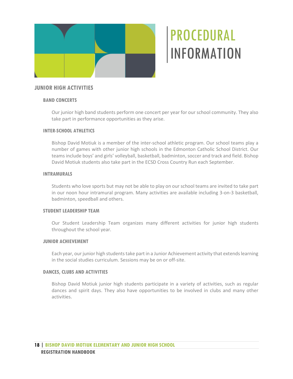

# <span id="page-21-0"></span>**JUNIOR HIGH ACTIVITIES**

### **BAND CONCERTS**

Our junior high band students perform one concert per year for our school community. They also take part in performance opportunities as they arise.

### **INTER-SCHOOL ATHLETICS**

Bishop David Motiuk is a member of the inter-school athletic program. Our school teams play a number of games with other junior high schools in the Edmonton Catholic School District. Our teams include boys' and girls' volleyball, basketball, badminton, soccer and track and field. Bishop David Motiuk students also take part in the ECSD Cross Country Run each September.

### **INTRAMURALS**

Students who love sports but may not be able to play on our school teams are invited to take part in our noon hour intramural program. Many activities are available including 3-on-3 basketball, badminton, speedball and others.

### **STUDENT LEADERSHIP TEAM**

Our Student Leadership Team organizes many different activities for junior high students throughout the school year.

### **JUNIOR ACHIEVEMENT**

Each year, our junior high students take part in a Junior Achievement activity that extends learning in the social studies curriculum. Sessions may be on or off-site.

### **DANCES, CLUBS AND ACTIVITIES**

Bishop David Motiuk junior high students participate in a variety of activities, such as regular dances and spirit days. They also have opportunities to be involved in clubs and many other activities.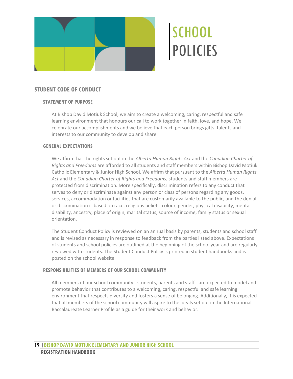

# <span id="page-22-2"></span><span id="page-22-1"></span><span id="page-22-0"></span>**STUDENT CODE OF CONDUCT**

# **STATEMENT OF PURPOSE**

At Bishop David Motiuk School, we aim to create a welcoming, caring, respectful and safe learning environment that honours our call to work together in faith, love, and hope. We celebrate our accomplishments and we believe that each person brings gifts, talents and interests to our community to develop and share.

# **GENERAL EXPECTATIONS**

We affirm that the rights set out in the *Alberta Human Rights Act* and the *Canadian Charter of Rights and Freedoms* are afforded to all students and staff members within Bishop David Motiuk Catholic Elementary & Junior High School. We affirm that pursuant to the *Alberta Human Rights Act* and the *Canadian Charter of Rights and Freedoms*, students and staff members are protected from discrimination. More specifically, discrimination refers to any conduct that serves to deny or discriminate against any person or class of persons regarding any goods, services, accommodation or facilities that are customarily available to the public, and the denial or discrimination is based on race, religious beliefs, colour, gender, physical disability, mental disability, ancestry, place of origin, marital status, source of income, family status or sexual orientation.

The Student Conduct Policy is reviewed on an annual basis by parents, students and school staff and is revised as necessary in response to feedback from the parties listed above. Expectations of students and school policies are outlined at the beginning of the school year and are regularly reviewed with students. The Student Conduct Policy is printed in student handbooks and is posted on the school website

### **RESPONSIBILITIES OF MEMBERS OF OUR SCHOOL COMMUNITY**

All members of our school community - students, parents and staff - are expected to model and promote behavior that contributes to a welcoming, caring, respectful and safe learning environment that respects diversity and fosters a sense of belonging. Additionally, it is expected that all members of the school community will aspire to the ideals set out in the International Baccalaureate Learner Profile as a guide for their work and behavior.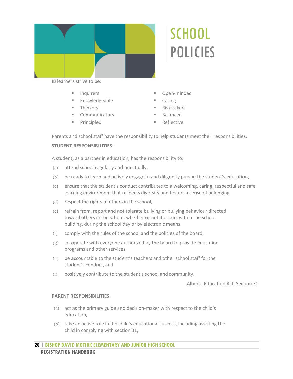

#### IB learners strive to be:

- **Inquirers**
- **Knowledgeable**
- Thinkers
- **Communicators**
- **Principled**

Open-minded

**SCHOOL** 

POLICIES

- Caring
- Risk-takers
- Balanced
- **Reflective**

Parents and school staff have the responsibility to help students meet their responsibilities.

### **STUDENT RESPONSIBILITIES:**

A student, as a partner in education, has the responsibility to:

- (a) attend school regularly and punctually,
- (b) be ready to learn and actively engage in and diligently pursue the student's education,
- (c) ensure that the student's conduct contributes to a welcoming, caring, respectful and safe learning environment that respects diversity and fosters a sense of belonging
- (d) respect the rights of others in the school,
- (e) refrain from, report and not tolerate bullying or bullying behaviour directed toward others in the school, whether or not it occurs within the school building, during the school day or by electronic means,
- (f) comply with the rules of the school and the policies of the board,
- (g) co-operate with everyone authorized by the board to provide education programs and other services,
- (h) be accountable to the student's teachers and other school staff for the student's conduct, and
- (i) positively contribute to the student's school and community.

-Alberta Education Act, Section 31

#### **PARENT RESPONSIBILITIES:**

- (a) act as the primary guide and decision-maker with respect to the child's education,
- (b) take an active role in the child's educational success, including assisting the child in complying with section 31,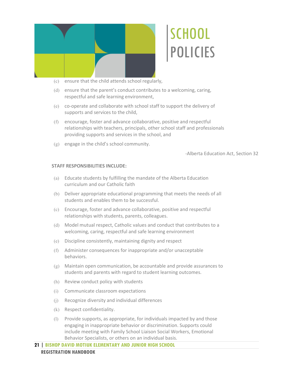

- (c) ensure that the child attends school regularly,
- (d) ensure that the parent's conduct contributes to a welcoming, caring, respectful and safe learning environment,
- (e) co-operate and collaborate with school staff to support the delivery of supports and services to the child,
- (f) encourage, foster and advance collaborative, positive and respectful relationships with teachers, principals, other school staff and professionals providing supports and services in the school, and
- (g) engage in the child's school community.

-Alberta Education Act, Section 32

#### **STAFF RESPONSIBILITIES INCLUDE:**

- (a) Educate students by fulfilling the mandate of the Alberta Education curriculum and our Catholic faith
- (b) Deliver appropriate educational programming that meets the needs of all students and enables them to be successful.
- (c) Encourage, foster and advance collaborative, positive and respectful relationships with students, parents, colleagues.
- (d) Model mutual respect, Catholic values and conduct that contributes to a welcoming, caring, respectful and safe learning environment
- (e) Discipline consistently, maintaining dignity and respect
- (f) Administer consequences for inappropriate and/or unacceptable behaviors.
- (g) Maintain open communication, be accountable and provide assurances to students and parents with regard to student learning outcomes.
- (h) Review conduct policy with students
- (i) Communicate classroom expectations
- (j) Recognize diversity and individual differences
- (k) Respect confidentiality.
- (l) Provide supports, as appropriate, for individuals impacted by and those engaging in inappropriate behavior or discrimination. Supports could include meeting with Family School Liaison Social Workers, Emotional Behavior Specialists, or others on an individual basis.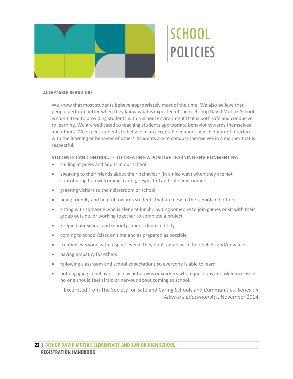

### **ACCEPTABLE BEHAVIORS**

We know that most students behave appropriately most of the time. We also believe that people perform better when they know what is expected of them. Bishop David Motiuk School is committed to providing students with a school environment that is both safe and conducive to learning. We are dedicated to teaching students appropriate behavior towards themselves and others. We expect students to behave in an acceptable manner, which does not interfere with the learning or behavior of others. Students are to conduct themselves in a manner that is respectful.

#### **STUDENTS CAN CONTRIBUTE TO CREATING A POSITIVE LEARNING ENVIRONMENT BY:**

- smiling at peers and adults in our school
- speaking to their friends about their behaviour (in a nice way) when they are not contributing to a welcoming, caring, respectful and safe environment
- greeting visitors to their classroom or school
- being friendly and helpful towards students that are new to the school and others
- sitting with someone who is alone at lunch, inviting someone to join games or sit with their group outside, or working together to complete a project
- keeping our school and school grounds clean and tidy
- coming to school/class on time and as prepared as possible
- treating everyone with respect even if they don't agree with their beliefs and/or values
- having empathy for others
- following classroom and school expectations so everyone is able to learn
- not engaging in behavior such as put downs or snickers when questions are asked in class no one should feel afraid or nervous about coming to school.
- Excerpted from The Society for Safe and Caring Schools and Communities*, Series on Alberta's Education Act,* November 2014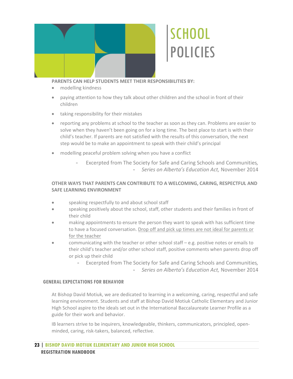

**PARENTS CAN HELP STUDENTS MEET THEIR RESPONSIBILITIES BY:**

- modelling kindness
- paying attention to how they talk about other children and the school in front of their children
- taking responsibility for their mistakes
- reporting any problems at school to the teacher as soon as they can. Problems are easier to solve when they haven't been going on for a long time. The best place to start is with their child's teacher. If parents are not satisfied with the results of this conversation, the next step would be to make an appointment to speak with their child's principal
- modelling peaceful problem solving when you have a conflict
	- Excerpted from The Society for Safe and Caring Schools and Communities*,*  - *Series on Alberta's Education Act,* November 2014

# **OTHER WAYS THAT PARENTS CAN CONTRIBUTE TO A WELCOMING, CARING, RESPECTFUL AND SAFE LEARNING ENVIRONMENT**

- speaking respectfully to and about school staff
- speaking positively about the school, staff, other students and their families in front of their child
- making appointments to ensure the person they want to speak with has sufficient time to have a focused conversation. Drop off and pick up times are not ideal for parents or for the teacher
- communicating with the teacher or other school staff e.g. positive notes or emails to their child's teacher and/or other school staff, positive comments when parents drop off or pick up their child
	- Excerpted from The Society for Safe and Caring Schools and Communities*,* 
		- *Series on Alberta's Education Act,* November 2014

### **GENERAL EXPECTATIONS FOR BEHAVIOR**

At Bishop David Motiuk, we are dedicated to learning in a welcoming, caring, respectful and safe learning environment. Students and staff at Bishop David Motiuk Catholic Elementary and Junior High School aspire to the ideals set out in the International Baccalaureate Learner Profile as a guide for their work and behavior.

IB learners strive to be inquirers, knowledgeable, thinkers, communicators, principled, openminded, caring, risk-takers, balanced, reflective.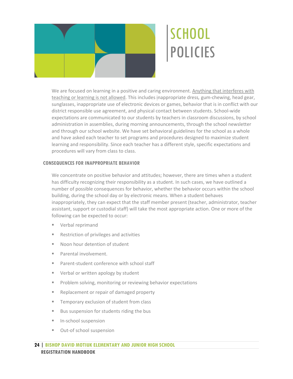

We are focused on learning in a positive and caring environment. Anything that interferes with teaching or learning is not allowed. This includes inappropriate dress*,* gum-chewing, head gear, sunglasses, inappropriate use of electronic devices or games, behavior that is in conflict with our district responsible use agreement, and physical contact between students. School-wide expectations are communicated to our students by teachers in classroom discussions, by school administration in assemblies, during morning announcements, through the school newsletter and through our school website. We have set behavioral guidelines for the school as a whole and have asked each teacher to set programs and procedures designed to maximize student learning and responsibility. Since each teacher has a different style, specific expectations and procedures will vary from class to class.

# **CONSEQUENCES FOR INAPPROPRIATE BEHAVIOR**

We concentrate on positive behavior and attitudes; however, there are times when a student has difficulty recognizing their responsibility as a student. In such cases, we have outlined a number of possible consequences for behavior, whether the behavior occurs within the school building, during the school day or by electronic means. When a student behaves inappropriately, they can expect that the staff member present (teacher, administrator, teacher assistant, support or custodial staff) will take the most appropriate action. One or more of the following can be expected to occur:

- **Verbal reprimand**
- Restriction of privileges and activities
- Noon hour detention of student
- **Parental involvement.**
- **Parent-student conference with school staff**
- **Verbal or written apology by student**
- **Problem solving, monitoring or reviewing behavior expectations**
- Replacement or repair of damaged property
- **Temporary exclusion of student from class**
- Bus suspension for students riding the bus
- **In-school suspension**
- Out-of school suspension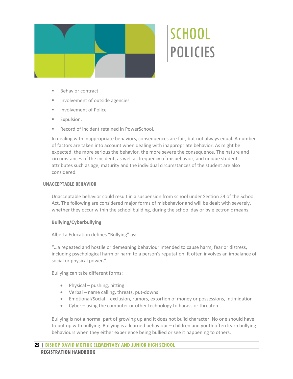

- Behavior contract
- **Involvement of outside agencies**
- **Involvement of Police**
- **Expulsion.**
- Record of incident retained in PowerSchool.

In dealing with inappropriate behaviors, consequences are fair, but not always equal. A number of factors are taken into account when dealing with inappropriate behavior. As might be expected, the more serious the behavior, the more severe the consequence. The nature and circumstances of the incident, as well as frequency of misbehavior, and unique student attributes such as age, maturity and the individual circumstances of the student are also considered.

### **UNACCEPTABLE BEHAVIOR**

Unacceptable behavior could result in a suspension from school under Section 24 of the School Act. The following are considered major forms of misbehavior and will be dealt with severely, whether they occur within the school building, during the school day or by electronic means.

### **Bullying/Cyberbullying**

Alberta Education defines "Bullying" as:

"…a repeated and hostile or demeaning behaviour intended to cause harm, fear or distress, including psychological harm or harm to a person's reputation. It often involves an imbalance of social or physical power."

Bullying can take different forms:

- Physical pushing, hitting
- Verbal name calling, threats, put-downs
- Emotional/Social exclusion, rumors, extortion of money or possessions, intimidation
- Cyber using the computer or other technology to harass or threaten

Bullying is not a normal part of growing up and it does not build character. No one should have to put up with bullying. Bullying is a learned behaviour – children and youth often learn bullying behaviours when they either experience being bullied or see it happening to others.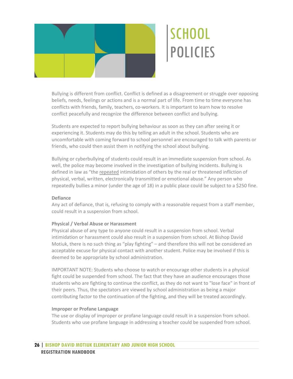

Bullying is different from conflict. Conflict is defined as a disagreement or struggle over opposing beliefs, needs, feelings or actions and is a normal part of life. From time to time everyone has conflicts with friends, family, teachers, co-workers. It is important to learn how to resolve conflict peacefully and recognize the difference between conflict and bullying.

Students are expected to report bullying behaviour as soon as they can after seeing it or experiencing it. Students may do this by telling an adult in the school. Students who are uncomfortable with coming forward to school personnel are encouraged to talk with parents or friends, who could then assist them in notifying the school about bullying.

Bullying or cyberbullying of students could result in an immediate suspension from school. As well, the police may become involved in the investigation of bullying incidents. Bullying is defined in law as "the repeated intimidation of others by the real or threatened infliction of physical, verbal, written, electronically transmitted or emotional abuse." Any person who repeatedly bullies a minor (under the age of 18) in a public place could be subject to a \$250 fine.

### **Defiance**

Any act of defiance, that is, refusing to comply with a reasonable request from a staff member, could result in a suspension from school.

### **Physical / Verbal Abuse or Harassment**

Physical abuse of any type to anyone could result in a suspension from school. Verbal intimidation or harassment could also result in a suspension from school. At Bishop David Motiuk, there is no such thing as "play fighting" – and therefore this will not be considered an acceptable excuse for physical contact with another student. Police may be involved if this is deemed to be appropriate by school administration.

IMPORTANT NOTE: Students who choose to watch or encourage other students in a physical fight could be suspended from school. The fact that they have an audience encourages those students who are fighting to continue the conflict, as they do not want to "lose face" in front of their peers. Thus, the spectators are viewed by school administration as being a major contributing factor to the continuation of the fighting, and they will be treated accordingly.

### **Improper or Profane Language**

The use or display of improper or profane language could result in a suspension from school. Students who use profane language in addressing a teacher could be suspended from school.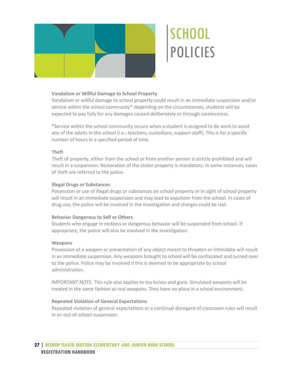

# **Vandalism or Willful Damage to School Property**

Vandalism or willful damage to school property could result in an immediate suspension and/or service within the school community\* depending on the circumstances, students will be expected to pay fully for any damages caused deliberately or through carelessness.

\*Service within the school community occurs when a student is assigned to do work to assist any of the adults in the school (i.e.: teachers, custodians, support staff). This is for a specific number of hours in a specified period of time.

#### **Theft**

Theft of property, either from the school or from another person is strictly prohibited and will result in a suspension. Restoration of the stolen property is mandatory. In some instances, cases of theft are referred to the police.

#### **Illegal Drugs or Substances**

Possession or use of illegal drugs or substances on school property or in sight of school property will result in an immediate suspension and may lead to expulsion from the school. In cases of drug use, the police will be involved in the investigation and charges could be laid.

### **Behavior Dangerous to Self or Others**

Students who engage in reckless or dangerous behavior will be suspended from school. If appropriate, the police will also be involved in the investigation.

#### **Weapons**

Possession of a weapon or presentation of any object meant to threaten or intimidate will result in an immediate suspension. Any weapons brought to school will be confiscated and turned over to the police. Police may be involved if this is deemed to be appropriate by school administration.

IMPORTANT NOTE: This rule also applies to toy knives and guns. Simulated weapons will be treated in the same fashion as real weapons. They have no place in a school environment.

### **Repeated Violation of General Expectations**

Repeated violation of general expectations or a continual disregard of classroom rules will result in an out-of-school suspension.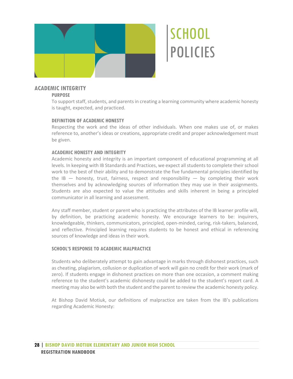

# **ACADEMIC INTEGRITY**

# **PURPOSE**

To support staff, students, and parents in creating a learning community where academic honesty is taught, expected, and practiced.

# **DEFINITION OF ACADEMIC HONESTY**

Respecting the work and the ideas of other individuals. When one makes use of, or makes reference to, another's ideas or creations, appropriate credit and proper acknowledgement must be given.

# **ACADEMIC HONESTY AND INTEGRITY**

Academic honesty and integrity is an important component of educational programming at all levels. In keeping with IB Standards and Practices, we expect all students to complete their school work to the best of their ability and to demonstrate the five fundamental principles identified by the IB  $-$  honesty, trust, fairness, respect and responsibility  $-$  by completing their work themselves and by acknowledging sources of information they may use in their assignments. Students are also expected to value the attitudes and skills inherent in being a principled communicator in all learning and assessment.

Any staff member, student or parent who is practicing the attributes of the IB learner profile will, by definition, be practicing academic honesty. We encourage learners to be: inquirers, knowledgeable, thinkers, communicators, principled, open-minded, caring, risk-takers, balanced, and reflective. Principled learning requires students to be honest and ethical in referencing sources of knowledge and ideas in their work.

### **SCHOOL'S RESPONSE TO ACADEMIC MALPRACTICE**

Students who deliberately attempt to gain advantage in marks through dishonest practices, such as cheating, plagiarism, collusion or duplication of work will gain no credit for their work (mark of zero). If students engage in dishonest practices on more than one occasion, a comment making reference to the student's academic dishonesty could be added to the student's report card. A meeting may also be with both the student and the parent to review the academic honesty policy.

At Bishop David Motiuk, our definitions of malpractice are taken from the IB's publications regarding Academic Honesty: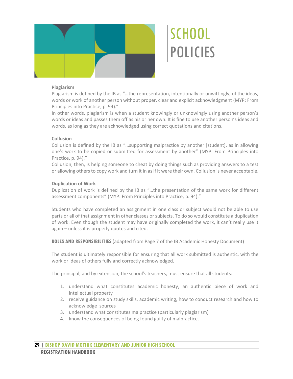

# **Plagiarism**

Plagiarism is defined by the IB as "…the representation, intentionally or unwittingly, of the ideas, words or work of another person without proper, clear and explicit acknowledgment (MYP: From Principles into Practice, p. 94)."

In other words, plagiarism is when a student knowingly or unknowingly using another person's words or ideas and passes them off as his or her own. It is fine to use another person's ideas and words, as long as they are acknowledged using correct quotations and citations.

# **Collusion**

Collusion is defined by the IB as "…supporting malpractice by another [student], as in allowing one's work to be copied or submitted for assessment by another" (MYP: From Principles into Practice, p. 94)."

Collusion, then, is helping someone to cheat by doing things such as providing answers to a test or allowing others to copy work and turn it in as if it were their own. Collusion is never acceptable.

# **Duplication of Work**

Duplication of work is defined by the IB as "…the presentation of the same work for different assessment components" (MYP: From Principles into Practice, p. 94)."

Students who have completed an assignment in one class or subject would not be able to use parts or all of that assignment in other classes or subjects. To do so would constitute a duplication of work. Even though the student may have originally completed the work, it can't really use it again – unless it is properly quotes and cited.

**ROLES AND RESPONSIBILITIES** (adapted from Page 7 of the IB Academic Honesty Document)

The student is ultimately responsible for ensuring that all work submitted is authentic, with the work or ideas of others fully and correctly acknowledged.

The principal, and by extension, the school's teachers, must ensure that all students:

- 1. understand what constitutes academic honesty, an authentic piece of work and intellectual property
- 2. receive guidance on study skills, academic writing, how to conduct research and how to acknowledge sources
- 3. understand what constitutes malpractice (particularly plagiarism)
- 4. know the consequences of being found guilty of malpractice.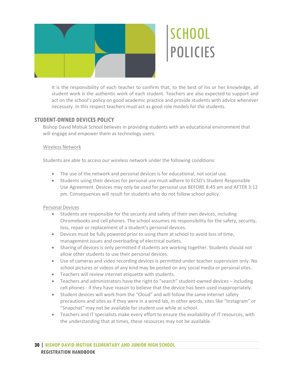

It is the responsibility of each teacher to confirm that, to the best of his or her knowledge, all student work is the authentic work of each student. Teachers are also expected to support and act on the school's policy on good academic practice and provide students with advice whenever necessary. In this respect teachers must act as good role models for the students.

# **STUDENT-OWNED DEVICES POLICY**

Bishop David Motiuk School believes in providing students with an educational environment that will engage and empower them as technology users.

# Wireless Network

Students are able to access our wireless network under the following conditions:

- The use of the network and personal devices is for educational, not social use.
- Students using their devices for personal use must adhere to ECSD's Student Responsible Use Agreement. Devices may only be used for personal use BEFORE 8:45 am and AFTER 3:12 pm. Consequences will result for students who do not follow school policy.

# Personal Devices

- Students are responsible for the security and safety of their own devices, including Chromebooks and cell phones. The school assumes no responsibility for the safety, security, loss, repair or replacement of a student's personal devices.
- Devices must be fully powered prior to using them at school to avoid loss of time, management issues and overloading of electrical outlets.
- Sharing of devices is only permitted if students are working together. Students should not allow other students to use their personal devices.
- Use of cameras and video recording devices is permitted under teacher supervision only. No school pictures or videos of any kind may be posted on any social media or personal sites.
- Teachers will review internet etiquette with students.
- Teachers and administrators have the right to "search" student-owned devices including cell phones - if they have reason to believe that the device has been used inappropriately.
- Student devices will work from the "Cloud" and will follow the same internet safety precautions and sites as if they were in a wired lab, In other words, sites like "Instagram" or "Snapchat" may not be available for student use while at school.
- Teachers and IT specialists make every effort to ensure the availability of IT resources, with the understanding that at times, these resources may not be available.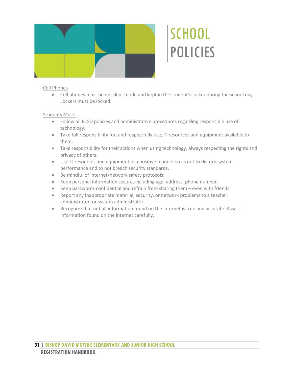

# Cell Phones

• Cell phones must be on silent mode and kept in the student's locker during the school day. Lockers must be locked.

# Students Must:

- Follow all ECSD policies and administrative procedures regarding responsible use of technology.
- Take full responsibility for, and respectfully use, IT resources and equipment available to them.
- Take responsibility for their actions when using technology, always respecting the rights and privacy of others.
- Use IT resources and equipment in a positive manner so as not to disturb system performance and to not breach security standards.
- Be mindful of internet/network safety protocols:
- Keep personal information secure, including age, address, phone number.
- Keep passwords confidential and refrain from sharing them even with friends.
- Report any inappropriate material, security, or network problems to a teacher, administrator, or system administrator.
- Recognize that not all information found on the internet is true and accurate. Assess information found on the internet carefully.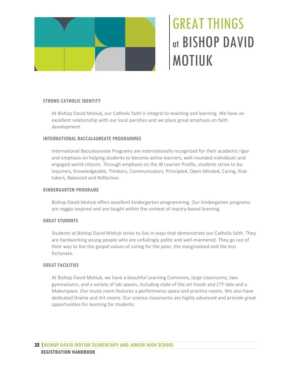

# GREAT THINGS at BISHOP DAVID MOTIUK

# <span id="page-35-0"></span>**STRONG CATHOLIC IDENTITY**

At Bishop David Motiuk, our Catholic faith is integral to teaching and learning. We have an excellent relationship with our local parishes and we place great emphasis on faith development.

### **INTERNATIONAL BACCALAUREATE PROGRAMMES**

International Baccalaureate Programs are internationally recognized for their academic rigor and emphasis on helping students to become active learners, well-rounded individuals and engaged world citizens. Through emphasis on the IB Learner Profile, students strive to be: Inquirers, Knowledgeable, Thinkers, Communicators, Principled, Open-Minded, Caring, Risktakers, Balanced and Reflective.

### **KINDERGARTEN PROGRAMS**

Bishop David Motiuk offers excellent kindergarten programming. Our kindergarten programs are reggio inspired and are taught within the context of inquiry-based learning.

### **GREAT STUDENTS**

Students at Bishop David Motiuk strive to live in ways that demonstrate our Catholic faith. They are hardworking young people who are unfailingly polite and well-mannered. They go out of their way to live the gospel values of caring for the poor, the marginalized and the less fortunate.

### **GREAT FACILITIES**

At Bishop David Motiuk, we have a beautiful Learning Commons, large classrooms, two gymnasiums, and a variety of lab spaces, including state of the art Foods and CTF labs and a Makerspace. Our music room features a performance space and practice rooms. We also have dedicated Drama and Art rooms. Our science classrooms are highly advanced and provide great opportunities for learning for students.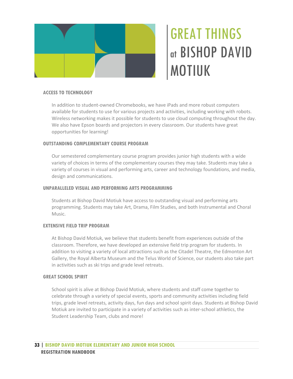

# GREAT THINGS at BISHOP DAVID MOTIUK

### **ACCESS TO TECHNOLOGY**

In addition to student-owned Chromebooks, we have iPads and more robust computers available for students to use for various projects and activities, including working with robots. Wireless networking makes it possible for students to use cloud computing throughout the day. We also have Epson boards and projectors in every classroom. Our students have great opportunities for learning!

### **OUTSTANDING COMPLEMENTARY COURSE PROGRAM**

Our semestered complementary course program provides junior high students with a wide variety of choices in terms of the complementary courses they may take. Students may take a variety of courses in visual and performing arts, career and technology foundations, and media, design and communications.

#### **UNPARALLELED VISUAL AND PERFORMING ARTS PROGRAMMING**

Students at Bishop David Motiuk have access to outstanding visual and performing arts programming. Students may take Art, Drama, Film Studies, and both Instrumental and Choral Music.

### **EXTENSIVE FIELD TRIP PROGRAM**

At Bishop David Motiuk, we believe that students benefit from experiences outside of the classroom. Therefore, we have developed an extensive field trip program for students. In addition to visiting a variety of local attractions such as the Citadel Theatre, the Edmonton Art Gallery, the Royal Alberta Museum and the Telus World of Science, our students also take part in activities such as ski trips and grade level retreats.

### **GREAT SCHOOL SPIRIT**

School spirit is alive at Bishop David Motiuk, where students and staff come together to celebrate through a variety of special events, sports and community activities including field trips, grade level retreats, activity days, fun days and school spirit days. Students at Bishop David Motiuk are invited to participate in a variety of activities such as inter-school athletics, the Student Leadership Team, clubs and more!